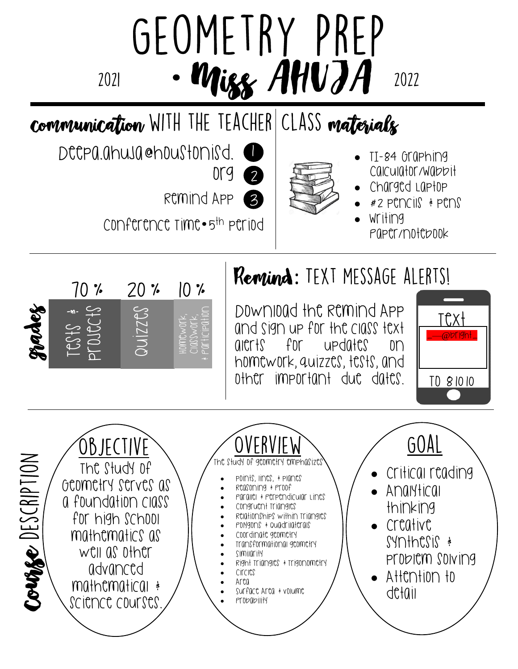